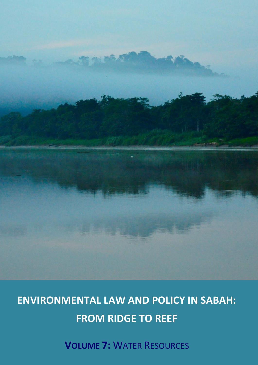

# **ENVIRONMENTAL LAW AND POLICY IN SABAH: FROM RIDGE TO REEF**

**VOLUME 7:** WATER RESOURCES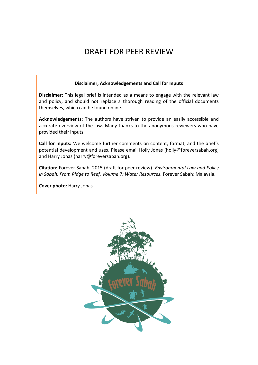# DRAFT FOR PEER REVIEW

#### **Disclaimer, Acknowledgements and Call for Inputs**

**Disclaimer:** This legal brief is intended as a means to engage with the relevant law and policy, and should not replace a thorough reading of the official documents themselves, which can be found online.

**Acknowledgements:** The authors have striven to provide an easily accessible and accurate overview of the law. Many thanks to the anonymous reviewers who have provided their inputs.

**Call for inputs:** We welcome further comments on content, format, and the brief's potential development and uses. Please email Holly Jonas (holly@foreversabah.org) and Harry Jonas (harry@foreversabah.org).

**Citation:** Forever Sabah, 2015 (draft for peer review). *Environmental Law and Policy in Sabah: From Ridge to Reef. Volume 7: Water Resources*. Forever Sabah: Malaysia.

**Cover photo:** Harry Jonas

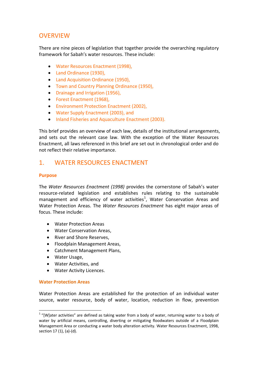# **OVERVIEW**

There are nine pieces of legislation that together provide the overarching regulatory framework for Sabah's water resources. These include:

- Water Resources Enactment (1998),
- Land Ordinance (1930),
- Land Acquisition Ordinance (1950),
- **Town and Country Planning Ordinance (1950),**
- Drainage and Irrigation (1956),
- Forest Enactment (1968),
- Environment Protection Enactment (2002),
- Water Supply Enactment (2003), and
- Inland Fisheries and Aquaculture Enactment (2003).

This brief provides an overview of each law, details of the institutional arrangements, and sets out the relevant case law. With the exception of the Water Resources Enactment, all laws referenced in this brief are set out in chronological order and do not reflect their relative importance.

# 1. WATER RESOURCES ENACTMENT

#### **Purpose**

The *Water Resources Enactment (1998)* provides the cornerstone of Sabah's water resource-related legislation and establishes rules relating to the sustainable management and efficiency of water activities<sup>1</sup>, Water Conservation Areas and Water Protection Areas. The *Water Resources Enactment* has eight major areas of focus. These include:

- Water Protection Areas
- Water Conservation Areas,
- River and Shore Reserves,
- Floodplain Management Areas,
- Catchment Management Plans,
- Water Usage,
- Water Activities, and
- Water Activity Licences.

#### **Water Protection Areas**

l

Water Protection Areas are established for the protection of an individual water source, water resource, body of water, location, reduction in flow, prevention

 $1$  "[W]ater activities" are defined as taking water from a body of water, returning water to a body of water by artificial means, controlling, diverting or mitigating floodwaters outside of a Floodplain Management Area or conducting a water body alteration activity. Water Resources Enactment, 1998, section 17 (1), (a)-(d).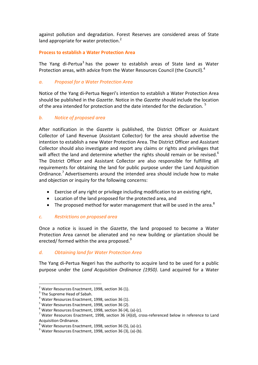against pollution and degradation. Forest Reserves are considered areas of State land appropriate for water protection. $2$ 

#### **Process to establish a Water Protection Area**

The Yang di-Pertua<sup>3</sup> has the power to establish areas of State land as Water Protection areas, with advice from the Water Resources Council (the Council).<sup>4</sup>

# *a. Proposal for a Water Protection Area*

Notice of the Yang di-Pertua Negeri's intention to establish a Water Protection Area should be published in the *Gazette*. Notice in the *Gazette* should include the location of the area intended for protection and the date intended for the declaration.<sup>5</sup>

#### *b. Notice of proposed area*

After notification in the *Gazette* is published, the District Officer or Assistant Collector of Land Revenue (Assistant Collector) for the area should advertise the intention to establish a new Water Protection Area. The District Officer and Assistant Collector should also investigate and report any claims or rights and privileges that will affect the land and determine whether the rights should remain or be revised.<sup>6</sup> The District Officer and Assistant Collector are also responsible for fulfilling all requirements for obtaining the land for public purpose under the Land Acquisition Ordinance.<sup>7</sup> Advertisements around the intended area should include how to make and objection or inquiry for the following concerns:

- Exercise of any right or privilege including modification to an existing right,
- Location of the land proposed for the protected area, and
- The proposed method for water management that will be used in the area. $8$

#### *c. Restrictions on proposed area*

Once a notice is issued in the *Gazette*, the land proposed to become a Water Protection Area cannot be alienated and no new building or plantation should be erected/ formed within the area proposed.<sup>9</sup>

#### *d. Obtaining land for Water Protection Area*

The Yang di-Pertua Negeri has the authority to acquire land to be used for a public purpose under the *Land Acquisition Ordinance (1950)*. Land acquired for a Water

 $2$  Water Resources Enactment, 1998, section 36 (1).

 $3$  The Supreme Head of Sabah.

<sup>4</sup> Water Resources Enactment, 1998, section 36 (1).

<sup>&</sup>lt;sup>5</sup> Water Resources Enactment, 1998, section 36 (2).

 $6$  Water Resources Enactment, 1998, section 36 (4), (a)-(c).

<sup>&</sup>lt;sup>7</sup> Water Resources Enactment, 1998, section 36 (4)(d), cross-referenced below in reference to Land Acquisition Ordinance.

 $8$  Water Resources Enactment, 1998, section 36 (5), (a)-(c).

 $9$  Water Resources Enactment, 1998, section 36 (3), (a)-(b).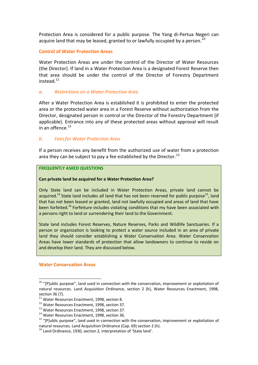Protection Area is considered for a public purpose. The Yang di-Pertua Negeri can acquire land that may be leased, granted to or lawfully occupied by a person.<sup>10</sup>

#### **Control of Water Protection Areas**

Water Protection Areas are under the control of the Director of Water Resources (the Director). If land in a Water Protection Area is a designated Forest Reserve then that area should be under the control of the Director of Forestry Department instead.<sup>11</sup>

#### *a. Restrictions on a Water Protection Area*

After a Water Protection Area is established it is prohibited to enter the protected area or the protected water area in a Forest Reserve without authorization from the Director, designated person in control or the Director of the Forestry Department (if applicable). Entrance into any of these protected areas without approval will result in an offence. $12$ 

#### *b. Fees for Water Protection Area*

If a person receives any benefit from the authorized use of water from a protection area they can be subject to pay a fee established by the Director.<sup>13</sup>

#### **FREQUENTLY ASKED QUESTIONS**

#### **Can private land be acquired for a Water Protection Area?**

Only State land can be included in Water Protection Areas, private land cannot be acquired.<sup>14</sup> State land includes all land that has not been reserved for public purpose<sup>15</sup>, land that has not been leased or granted, land not lawfully occupied and areas of land that have been forfeited.<sup>16</sup> Forfeiture includes violating conditions that my have been associated with a persons right to land or surrendering their land to the Government.

State land includes Forest Reserves, Nature Reserves, Parks and Wildlife Sanctuaries. If a person or organization is looking to protect a water source included in an area of private land they should consider establishing a Water Conservation Area. Water Conservation Areas have lower standards of protection that allow landowners to continue to reside on and develop their land. They are discussed below.

#### **Water Conservation Areas**

 $10$  "[P]ublic purpose", land used in connection with the conservation, improvement or exploitation of natural resources. Land Acquisition Ordinance, section 2 (h), Water Resources Enactment, 1998, section 36 (7).

<sup>&</sup>lt;sup>11</sup> Water Resources Enactment, 1998, section 8.

<sup>&</sup>lt;sup>12</sup> Water Resources Enactment, 1998, section 37.

<sup>&</sup>lt;sup>13</sup> Water Resources Enactment, 1998, section 37.

<sup>&</sup>lt;sup>14</sup> Water Resources Enactment, 1998, section 36.

<sup>&</sup>lt;sup>15</sup> "[P]ublic purpose", land used in connection with the conservation, improvement or exploitation of natural resources. Land Acquisition Ordinance (Cap. 69) section 2 (h).

<sup>16</sup> Land Ordinance, 1930, section 2, interpretation of 'State land'.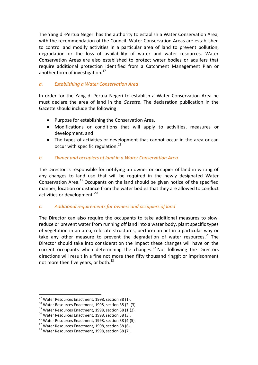The Yang di-Pertua Negeri has the authority to establish a Water Conservation Area, with the recommendation of the Council. Water Conservation Areas are established to control and modify activities in a particular area of land to prevent pollution, degradation or the loss of availability of water and water resources. Water Conservation Areas are also established to protect water bodies or aquifers that require additional protection identified from a Catchment Management Plan or another form of investigation.<sup>17</sup>

#### *a. Establishing a Water Conservation Area*

In order for the Yang di-Pertua Negeri to establish a Water Conservation Area he must declare the area of land in the *Gazette*. The declaration publication in the Gazette should include the following:

- Purpose for establishing the Conservation Area,
- Modifications or conditions that will apply to activities, measures or development, and
- The types of activities or development that cannot occur in the area or can occur with specific regulation.<sup>18</sup>

#### *b. Owner and occupiers of land in a Water Conservation Area*

The Director is responsible for notifying an owner or occupier of land in writing of any changes to land use that will be required in the newly designated Water Conservation Area.<sup>19</sup> Occupants on the land should be given notice of the specified manner, location or distance from the water bodies that they are allowed to conduct activities or development.<sup>20</sup>

# *c. Additional requirements for owners and occupiers of land*

The Director can also require the occupants to take additional measures to slow, reduce or prevent water from running off land into a water body, plant specific types of vegetation in an area, relocate structures, perform an act in a particular way or take any other measure to prevent the degradation of water resources.<sup>21</sup> The Director should take into consideration the impact these changes will have on the current occupants when determining the changes.<sup>22</sup> Not following the Directors directions will result in a fine not more then fifty thousand ringgit or imprisonment not more then five years, or both. $^{23}$ 

 $^{17}$  Water Resources Enactment, 1998, section 38 (1).

<sup>&</sup>lt;sup>18</sup> Water Resources Enactment, 1998, section 38 (2) (3).

 $19$  Water Resources Enactment, 1998, section 38 (1)(2).

<sup>&</sup>lt;sup>20</sup> Water Resources Enactment, 1998, section 38 (3).

 $21$  Water Resources Enactment, 1998, section 38 (4)(5).

<sup>&</sup>lt;sup>22</sup> Water Resources Enactment, 1998, section 38 (6).

<sup>&</sup>lt;sup>23</sup> Water Resources Enactment, 1998, section 38 (7).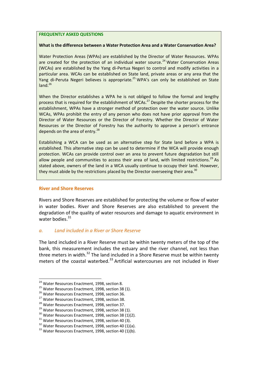#### **FREQUENTLY ASKED QUESTIONS**

#### **What is the difference between a Water Protection Area and a Water Conservation Area?**

Water Protection Areas (WPAs) are established by the Director of Water Resources. WPAs are created for the protection of an individual water source.<sup>24</sup> Water Conservation Areas (WCAs) are established by the Yang di-Pertua Negeri to control and modify activities in a particular area. WCAs can be established on State land, private areas or any area that the Yang di-Peruta Negeri believes is appropriate.<sup>25</sup> WPA's can only be established on State  $\overline{\mathsf{land}}^{\,26}$ 

When the Director establishes a WPA he is not obliged to follow the formal and lengthy process that is required for the establishment of WCAs.<sup>27</sup> Despite the shorter process for the establishment, WPAs have a stronger method of protection over the water source. Unlike WCAs, WPAs prohibit the entry of any person who does not have prior approval from the Director of Water Resources or the Director of Forestry. Whether the Director of Water Resources or the Director of Forestry has the authority to approve a person's entrance depends on the area of entry.<sup>28</sup>

Establishing a WCA can be used as an alternative step for State land before a WPA is established. This alternative step can be used to determine if the WCA will provide enough protection. WCAs can provide control over an area to prevent future degradation but still allow people and communities to access their area of land, with limited restrictions.<sup>29</sup> As stated above, owners of the land in a WCA usually continue to occupy their land. However, they must abide by the restrictions placed by the Director overseeing their area.<sup>30</sup>

#### **River and Shore Reserves**

Rivers and Shore Reserves are established for protecting the volume or flow of water in water bodies. River and Shore Reserves are also established to prevent the degradation of the quality of water resources and damage to aquatic environment in water bodies.<sup>31</sup>

#### *a. Land included in a River or Shore Reserve*

The land included in a River Reserve must be within twenty meters of the top of the bank, this measurement includes the estuary and the river channel, not less than three meters in width.<sup>32</sup> The land included in a Shore Reserve must be within twenty meters of the coastal waterbed. $33$  Artificial watercourses are not included in River

<sup>&</sup>lt;sup>24</sup> Water Resources Enactment, 1998, section 8.

 $25$  Water Resources Enactment, 1998, section 38 (1).

<sup>&</sup>lt;sup>26</sup> Water Resources Enactment, 1998, section 36.

<sup>&</sup>lt;sup>27</sup> Water Resources Enactment, 1998, section 38.

<sup>&</sup>lt;sup>28</sup> Water Resources Enactment, 1998, section 37.

<sup>&</sup>lt;sup>29</sup> Water Resources Enactment, 1998, section 38 (1).

<sup>&</sup>lt;sup>30</sup> Water Resources Enactment, 1998, section 38 (1)(2).

<sup>&</sup>lt;sup>31</sup> Water Resources Enactment, 1998, section 40 (3).

 $32$  Water Resources Enactment, 1998, section 40 (1)(a).

<sup>&</sup>lt;sup>33</sup> Water Resources Enactment, 1998, section 40 (1)(b).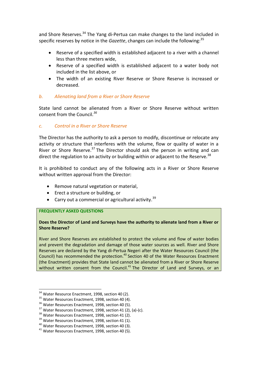and Shore Reserves.<sup>34</sup> The Yang di-Pertua can make changes to the land included in specific reserves by notice in the *Gazette*, changes can include the following:<sup>35</sup>

- Reserve of a specified width is established adjacent to a river with a channel less than three meters wide,
- Reserve of a specified width is established adjacent to a water body not included in the list above, or
- The width of an existing River Reserve or Shore Reserve is increased or decreased.

#### *b. Alienating land from a River or Shore Reserve*

State land cannot be alienated from a River or Shore Reserve without written consent from the Council.*<sup>36</sup>*

# *c. Control in a River or Shore Reserve*

The Director has the authority to ask a person to modify, discontinue or relocate any activity or structure that interferes with the volume, flow or quality of water in a River or Shore Reserve.<sup>37</sup> The Director should ask the person in writing and can direct the regulation to an activity or building within or adjacent to the Reserve.<sup>38</sup>

It is prohibited to conduct any of the following acts in a River or Shore Reserve without written approval from the Director:

- Remove natural vegetation or material,
- Erect a structure or building, or
- Carry out a commercial or agricultural activity.<sup>39</sup>

#### **FREQUENTLY ASKED QUESTIONS**

#### **Does the Director of Land and Surveys have the authority to alienate land from a River or Shore Reserve?**

River and Shore Reserves are established to protect the volume and flow of water bodies and prevent the degradation and damage of those water sources as well. River and Shore Reserves are declared by the Yang di-Pertua Negeri after the Water Resources Council (the Council) has recommended the protection.<sup>40</sup> Section 40 of the Water Resources Enactment (the Enactment) provides that State land cannot be alienated from a River or Shore Reserve without written consent from the Council. $41$  The Director of Land and Surveys, or an

l

<sup>&</sup>lt;sup>34</sup> Water Resource Enactment, 1998, section 40 (2).

<sup>&</sup>lt;sup>35</sup> Water Resources Enactment, 1998, section 40 (4).

<sup>&</sup>lt;sup>36</sup> Water Resources Enactment, 1998, section 40 (5).

 $37$  Water Resources Enactment, 1998, section 41 (2), (a)-(c).

<sup>&</sup>lt;sup>38</sup> Water Resources Enactment, 1998, section 41 (2).

<sup>&</sup>lt;sup>39</sup> Water Resources Enactment, 1998, section 41 (1).

<sup>40</sup> Water Resources Enactment, 1998, section 40 (3).

<sup>&</sup>lt;sup>41</sup> Water Resources Enactment, 1998, section 40 (5).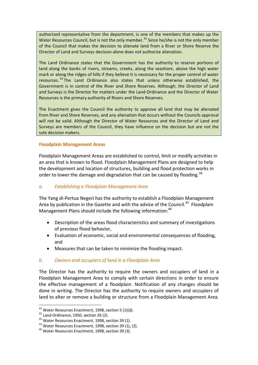authorized representative from the department, is one of the members that makes up the Water Resources Council, but is not the only member.<sup>42</sup> Since he/she is not the only member of the Council that makes the decision to alienate land from a River or Shore Reserve the Director of Land and Surveys decision alone does not authorize alienation.

The Land Ordinance states that the Government has the authority to reserve portions of land along the banks of rivers, streams, creeks, along the seashore, above the high water mark or along the ridges of hills if they believe it is necessary for the proper control of water resources. <sup>43</sup> The Land Ordinance also states that unless otherwise established, the Government is in control of the River and Shore Reserves. Although, the Director of Land and Surveys is the Director for matters under the Land Ordinance and the Director of Water Resources is the primary authority of Rivers and Shore Reserves.

The Enactment gives the Council the authority to approve all land that may be alienated from River and Shore Reserves, and any alienation that occurs without the Councils approval will not be valid. Although the Director of Water Resources and the Director of Land and Surveys are members of the Council, they have influence on the decision but are not the sole decision makers.

#### **Floodplain Management Areas**

Floodplain Management Areas are established to control, limit or modify activities in an area that is known to flood. Floodplain Management Plans are designed to help the development and location of structures, building and flood protection works in order to lower the damage and degradation that can be caused by flooding.<sup>44</sup>

#### *a. Establishing a Floodplain Management Area*

The Yang di-Pertua Negeri has the authority to establish a Floodplain Management Area by publication in the Gazette and with the advice of the Council.<sup>45</sup> Floodplain Management Plans should include the following information:<sup>46</sup>

- Description of the areas flood characteristics and summary of investigations of previous flood behavior,
- Evaluation of economic, social and environmental consequences of flooding, and
- Measures that can be taken to minimize the flooding impact.

#### *b. Owners and occupiers of land in a Floodplain Area*

The Director has the authority to require the owners and occupiers of land in a Floodplain Management Area to comply with certain directions in order to ensure the effective management of a floodplain. Notification of any changes should be done in writing. The Director has the authority to require owners and occupiers of land to alter or remove a building or structure from a Floodplain Management Area.

 $42$  Water Resources Enactment, 1998, section 5 (1)(d).

<sup>&</sup>lt;sup>43</sup> Land Ordinance, 1950, section 26 (2).

<sup>44</sup> Water Resources Enactment, 1998, section 39 (1).

<sup>&</sup>lt;sup>45</sup> Water Resources Enactment, 1998, section 39 (1), (2).

<sup>46</sup> Water Resources Enactment, 1998, section 39 (3).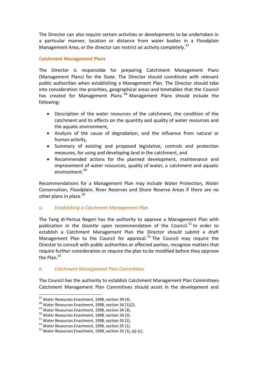The Director can also require certain activities or developments to be undertaken in a particular manner, location or distance from water bodies in a Floodplain Management Area, or the director can restrict an activity completely.<sup>47</sup>

#### **Catchment Management Plans**

The Director is responsible for preparing Catchment Management Plans (Management Plans) for the State. The Director should coordinate with relevant public authorities when establishing a Management Plan. The Director should take into consideration the priorities, geographical areas and timetables that the Council has created for Management Plans.<sup>48</sup> Management Plans should include the following:

- Description of the water resources of the catchment, the condition of the catchment and its effects on the quantity and quality of water resources and the aquatic environment,
- Analysis of the cause of degradation, and the influence from natural or human activity,
- Summary of existing and proposed legislative, controls and protection measures, for using and developing land in the catchment, and
- Recommended actions for the planned development, maintenance and improvement of water resources, quality of water, a catchment and aquatic environment.<sup>49</sup>

Recommendations for a Management Plan may include Water Protection, Water Conservation, Floodplain, River Reserves and Shore Reserve Areas if there are no other plans in place. $50<sup>50</sup>$ 

# *a. Establishing a Catchment Management Plan*

The Yang di-Pertua Negeri has the authority to approve a Management Plan with publication in the *Gazette* upon recommendation of the Council.<sup>51</sup> In order to establish a Catchment Management Plan the Director should submit a draft Management Plan to the Council for approval.<sup>52</sup> The Council may require the Director to consult with public authorities or affected parties, recognize matters that require further consideration or require the plan to be modified before they approve the Plan  $53$ 

# *b. Catchment Management Plan Committees*

The Council has the authority to establish Catchment Management Plan Committees. Catchment Management Plan Committees should assist in the development and

 $^{47}$  Water Resources Enactment, 1998, section 39 (4).

<sup>48</sup> Water Resources Enactment, 1998, section 34 (1)(2).

<sup>&</sup>lt;sup>49</sup> Water Resources Enactment, 1998, section 34 (3).

<sup>50</sup> Water Resources Enactment, 1998, section 34 (5).

<sup>51</sup> Water Resources Enactment, 1998, section 35 (2).

<sup>52</sup> Water Resources Enactment, 1998, section 35 (1).

<sup>&</sup>lt;sup>53</sup> Water Resources Enactment, 1998, section 35 (1), (a)-(c).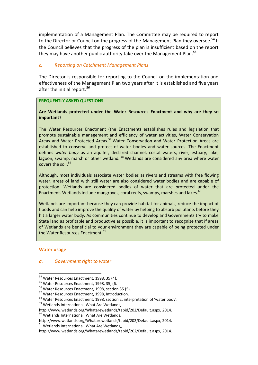implementation of a Management Plan. The Committee may be required to report to the Director or Council on the progress of the Management Plan they oversee.<sup>54</sup> If the Council believes that the progress of the plan is insufficient based on the report they may have another public authority take over the Management Plan.<sup>55</sup>

#### *c. Reporting on Catchment Management Plans*

The Director is responsible for reporting to the Council on the implementation and effectiveness of the Management Plan two years after it is established and five years after the initial report.<sup>56</sup>

#### **FREQUENTLY ASKED QUESTIONS**

#### **Are Wetlands protected under the Water Resources Enactment and why are they so important?**

The Water Resources Enactment (the Enactment) establishes rules and legislation that promote sustainable management and efficiency of water activities, Water Conservation Areas and Water Protected Areas.<sup>57</sup> Water Conservation and Water Protection Areas are established to conserve and protect of water bodies and water sources. The Enactment defines *water body* as an aquifer, declared channel, costal waters, river, estuary, lake, lagoon, swamp, marsh or other wetland. <sup>58</sup> Wetlands are considered any area where water covers the soil.<sup>59</sup>

Although, most individuals associate water bodies as rivers and streams with free flowing water, areas of land with still water are also considered water bodies and are capable of protection. Wetlands are considered bodies of water that are protected under the Enactment. Wetlands include mangroves, coral reefs, swamps, marshes and lakes. $60$ 

Wetlands are important because they can provide habitat for animals, reduce the impact of floods and can help improve the quality of water by helping to absorb pollutants before they hit a larger water body. As communities continue to develop and Governments try to make State land as profitable and productive as possible, it is important to recognize that if areas of Wetlands are beneficial to your environment they are capable of being protected under the Water Resources Enactment.<sup>61</sup>

#### **Water usage**

l

#### *a. Government right to water*

<sup>&</sup>lt;sup>54</sup> Water Resources Enactment, 1998, 35 (4).

<sup>&</sup>lt;sup>55</sup> Water Resources Enactment, 1998, 35, (6.

<sup>&</sup>lt;sup>56</sup> Water Resources Enactment, 1998, section 35 (5).

<sup>&</sup>lt;sup>57</sup> Water Resources Enactment, 1998, Introduction.

<sup>58</sup> Water Resources Enactment, 1998, section 2, interpretation of 'water body'.

<sup>&</sup>lt;sup>59</sup> Wetlands International, What Are Wetlands,

[http://www.wetlands.org/Whatarewetlands/tabid/202/Default.aspx,](http://www.wetlands.org/Whatarewetlands/tabid/202/Default.aspx) 2014.

<sup>&</sup>lt;sup>60</sup> Wetlands International, What Are Wetlands,

[http://www.wetlands.org/Whatarewetlands/tabid/202/Default.aspx,](http://www.wetlands.org/Whatarewetlands/tabid/202/Default.aspx) 2014.  $61$  Wetlands International, What Are Wetlands,,

[http://www.wetlands.org/Whatarewetlands/tabid/202/Default.aspx,](http://www.wetlands.org/Whatarewetlands/tabid/202/Default.aspx) 2014.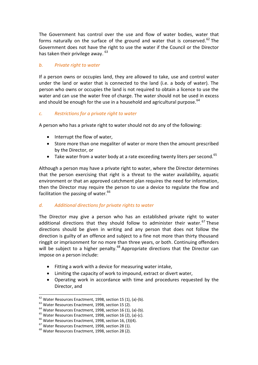The Government has control over the use and flow of water bodies, water that forms naturally on the surface of the ground and water that is conserved.<sup>62</sup> The Government does not have the right to use the water if the Council or the Director has taken their privilege away. <sup>63</sup>

# *b. Private right to water*

If a person owns or occupies land, they are allowed to take, use and control water under the land or water that is connected to the land (i.e. a body of water). The person who owns or occupies the land is not required to obtain a licence to use the water and can use the water free of charge. The water should not be used in excess and should be enough for the use in a household and agricultural purpose.<sup>64</sup>

# *c. Restrictions for a private right to water*

A person who has a private right to water should not do any of the following:

- $\bullet$  Interrupt the flow of water,
- Store more than one megaliter of water or more then the amount prescribed by the Director, or
- $\bullet$  Take water from a water body at a rate exceeding twenty liters per second.<sup>65</sup>

Although a person may have a private right to water, where the Director determines that the person exercising that right is a threat to the water availability, aquatic environment or that an approved catchment plan requires the need for information, then the Director may require the person to use a device to regulate the flow and facilitation the passing of water.<sup>66</sup>

# *d. Additional directions for private rights to water*

The Director may give a person who has an established private right to water additional directions that they should follow to administer their water.<sup>67</sup> These directions should be given in writing and any person that does not follow the direction is guilty of an offence and subject to a fine not more than thirty thousand ringgit or imprisonment for no more than three years, or both. Continuing offenders will be subject to a higher penalty.<sup>68</sup> Appropriate directions that the Director can impose on a person include:

- Fitting a work with a device for measuring water intake,
- Limiting the capacity of work to impound, extract or divert water,
- Operating work in accordance with time and procedures requested by the Director, and

 $^{62}$  Water Resources Enactment, 1998, section 15 (1), (a)-(b).

<sup>63</sup> Water Resources Enactment, 1998, section 15 (2).

 $64$  Water Resources Enactment, 1998, section 16 (1), (a)-(b).

 $65$  Water Resources Enactment, 1998, section 16 (2), (a)-(c).

 $66$  Water Resources Enactment, 1998, section 16, (3)(4).

<sup>&</sup>lt;sup>67</sup> Water Resources Enactment, 1998, section 28 (1).

<sup>&</sup>lt;sup>68</sup> Water Resources Enactment, 1998, section 28 (2).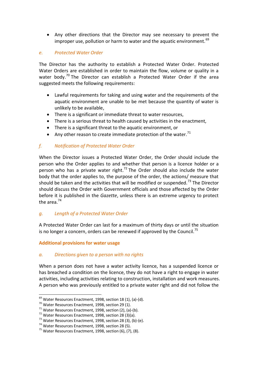Any other directions that the Director may see necessary to prevent the improper use, pollution or harm to water and the aquatic environment.<sup>69</sup>

#### *e. Protected Water Order*

The Director has the authority to establish a Protected Water Order. Protected Water Orders are established in order to maintain the flow, volume or quality in a water body.<sup>70</sup> The Director can establish a Protected Water Order if the area suggested meets the following requirements:

- Lawful requirements for taking and using water and the requirements of the aquatic environment are unable to be met because the quantity of water is unlikely to be available,
- There is a significant or immediate threat to water resources,
- There is a serious threat to health caused by activities in the enactment,
- There is a significant threat to the aquatic environment, or
- Any other reason to create immediate protection of the water. $71$

# *f. Notification of Protected Water Order*

When the Director issues a Protected Water Order, the Order should include the person who the Order applies to and whether that person is a licence holder or a person who has a private water right.<sup>72</sup> The Order should also include the water body that the order applies to, the purpose of the order, the actions/ measure that should be taken and the activities that will be modified or suspended.<sup>73</sup> The Director should discuss the Order with Government officials and those affected by the Order before it is published in the *Gazette*, unless there is an extreme urgency to protect the area.<sup>74</sup>

# *g. Length of a Protected Water Order*

A Protected Water Order can last for a maximum of thirty days or until the situation is no longer a concern, orders can be renewed if approved by the Council.<sup>75</sup>

#### **Additional provisions for water usage**

#### *a. Directions given to a person with no rights*

When a person does not have a water activity licence, has a suspended licence or has breached a condition on the licence, they do not have a right to engage in water activities, including activities relating to construction, installation and work measures. A person who was previously entitled to a private water right and did not follow the

 $^{69}$  Water Resources Enactment, 1998, section 18 (1), (a)-(d).

<sup>70</sup> Water Resources Enactment, 1998, section 29 (1).

 $171$  Water Resources Enactment, 1998, section (2), (a)-(b).

 $72$  Water Resources Enactment, 1998, section 28 (3)(a).

<sup>73</sup> Water Resources Enactment, 1998, section 28 (3), (b)-(e).

<sup>74</sup> Water Resources Enactment, 1998, section 28 (5).

 $75$  Water Resources Enactment, 1998, section (6), (7), (8).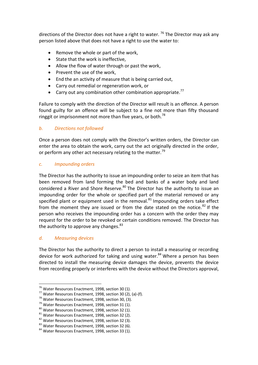directions of the Director does not have a right to water.<sup>76</sup> The Director may ask any person listed above that does not have a right to use the water to:

- Remove the whole or part of the work,
- State that the work is ineffective,
- Allow the flow of water through or past the work,
- Prevent the use of the work,
- End the an activity of measure that is being carried out,
- Carry out remedial or regeneration work, or
- **•** Carry out any combination other combination appropriate.<sup>77</sup>

Failure to comply with the direction of the Director will result is an offence. A person found guilty for an offence will be subject to a fine not more than fifty thousand ringgit or imprisonment not more than five years, or both.<sup>78</sup>

# *b. Directions not followed*

Once a person does not comply with the Director's written orders, the Director can enter the area to obtain the work, carry out the act originally directed in the order, or perform any other act necessary relating to the matter.<sup>79</sup>

# *c. Impounding orders*

The Director has the authority to issue an impounding order to seize an item that has been removed from land forming the bed and banks of a water body and land considered a River and Shore Reserve.<sup>80</sup> The Director has the authority to issue an impounding order for the whole or specified part of the material removed or any specified plant or equipment used in the removal. $81$  Impounding orders take effect from the moment they are issued or from the date stated on the notice. $82$  If the person who receives the impounding order has a concern with the order they may request for the order to be revoked or certain conditions removed. The Director has the authority to approve any changes. $83$ 

# *d. Measuring devices*

 $\overline{a}$ 

The Director has the authority to direct a person to install a measuring or recording device for work authorized for taking and using water. $84$  Where a person has been directed to install the measuring device damages the device, prevents the device from recording properly or interferes with the device without the Directors approval,

<sup>76</sup> Water Resources Enactment, 1998, section 30 (1).

 $77$  Water Resources Enactment, 1998, section 30 (2), (a)-(f).

<sup>78</sup> Water Resources Enactment, 1998, section 30, (3).

<sup>&</sup>lt;sup>79</sup> Water Resources Enactment, 1998, section 31 (1).

<sup>80</sup> Water Resources Enactment, 1998, section 32 (1).

<sup>81</sup> Water Resources Enactment, 1998, section 32 (2).

<sup>82</sup> Water Resources Enactment, 1998, section 32 (3).

<sup>83</sup> Water Resources Enactment, 1998, section 32 (6).

<sup>84</sup> Water Resources Enactment, 1998, section 33 (1).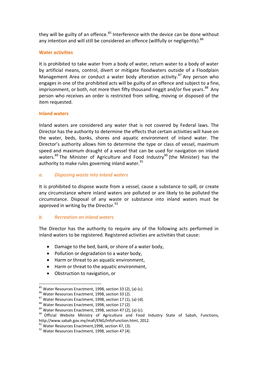they will be guilty of an offence. $85$  Interference with the device can be done without any intention and will still be considered an offence (willfully or negligently).  $86$ 

#### **Water activities**

It is prohibited to take water from a body of water, return water to a body of water by artificial means, control, divert or mitigate floodwaters outside of a Floodplain Management Area or conduct a water body alteration activity.<sup>87</sup> Any person who engages in one of the prohibited acts will be guilty of an offence and subject to a fine, imprisonment, or both, not more then fifty thousand ringgit and/or five years.<sup>88</sup> Any person who receives an order is restricted from selling, moving or disposed of the item requested.

#### **Inland waters**

Inland waters are considered any water that is not covered by Federal laws. The Director has the authority to determine the effects that certain activities will have on the water, beds, banks, shores and aquatic environment of inland water. The Director's authority allows him to determine the type or class of vessel, maximum speed and maximum draught of a vessel that can be used for navigation on inland waters.<sup>89</sup> The Minister of Agriculture and Food Industry<sup>90</sup> (the Minister) has the authority to make rules governing inland water. $91$ 

#### *a. Disposing waste into inland waters*

It is prohibited to dispose waste from a vessel, cause a substance to spill, or create any circumstance where inland waters are polluted or are likely to be polluted the circumstance. Disposal of any waste or substance into inland waters must be approved in writing by the Director. $^{92}$ 

# *b. Recreation on inland waters*

The Director has the authority to require any of the following acts performed in inland waters to be registered. Registered activities are activities that cause:

- Damage to the bed, bank, or shore of a water body,
- Pollution or degradation to a water body,
- Harm or threat to an aquatic environment,
- Harm or threat to the aquatic environment,
- Obstruction to navigation, or

 $\overline{a}$  $85$  Water Resources Enactment, 1998, section 33 (2), (a)-(c).

<sup>86</sup> Water Resources Enactment, 1998, section 33 (2).

 $87$  Water Resources Enactment, 1998, section 17 (1), (a)-(d).

<sup>88</sup> Water Resources Enactment, 1998, section 17 (2).

 $89$  Water Resources Enactment, 1998, section 47 (2), (a)-(c).

<sup>&</sup>lt;sup>90</sup> Official Website Ministry of Agriculture and Food Industry State of Sabah, Functions, [http://www.sabah.gov.my/mafi/ENG/InfoFunction.html,](http://www.sabah.gov.my/mafi/ENG/InfoFunction.html) 2012.

 $91$  Water Resources Enactment. 1998, section 47, (3).

<sup>&</sup>lt;sup>92</sup> Water Resources Enactment, 1998, section 47 (4).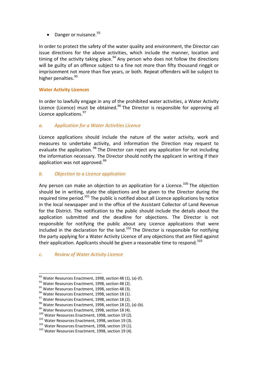• Danger or nuisance.  $93$ 

In order to protect the safety of the water quality and environment, the Director can issue directions for the above activities, which include the manner, location and timing of the activity taking place.<sup>94</sup> Any person who does not follow the directions will be guilty of an offence subject to a fine not more than fifty thousand ringgit or imprisonment not more than five years, or both. Repeat offenders will be subject to higher penalties.<sup>95</sup>

# **Water Activity Licences**

In order to lawfully engage in any of the prohibited water activities, a Water Activity Licence (Licence) must be obtained.<sup>96</sup> The Director is responsible for approving all Licence applications.<sup>97</sup>

# *a. Application for a Water Activities Licence*

Licence applications should include the nature of the water activity, work and measures to undertake activity, and information the Direction may request to evaluate the application.<sup>98</sup> The Director can reject any application for not including the information necessary. The Director should notify the applicant in writing if their application was not approved.<sup>99</sup>

# *b. Objection to a Licence application*

Any person can make an objection to an application for a Licence.<sup>100</sup> The objection should be in writing, state the objections and be given to the Director during the required time period.<sup>101</sup> The public is notified about all Licence applications by notice in the local newspaper and in the office of the Assistant Collector of Land Revenue for the District. The notification to the public should include the details about the application submitted and the deadline for objections. The Director is not responsible for notifying the public about any Licence applications that were included in the declaration for the land.<sup>102</sup> The Director is responsible for notifying the party applying for a Water Activity Licence of any objections that are filed against their application. Applicants should be given a reasonable time to respond.<sup>103</sup>

#### *c. Review of Water Activity Licence*

l

<sup>93</sup> Water Resources Enactment, 1998, section 48 (1), (a)-(f).

<sup>94</sup> Water Resources Enactment, 1998, section 48 (2).

<sup>&</sup>lt;sup>95</sup> Water Resources Enactment, 1998, section 48 (3).

<sup>96</sup> Water Resources Enactment, 1998, section 18 (1).

<sup>97</sup> Water Resources Enactment, 1998, section 18 (2).

<sup>98</sup> Water Resources Enactment, 1998, section 18 (2), (a)-(b).

<sup>&</sup>lt;sup>99</sup> Water Resources Enactment, 1998, section 18 (4).

<sup>100</sup> Water Resources Enactment, 1998, section 19 (2).

<sup>&</sup>lt;sup>101</sup> Water Resources Enactment, 1998, section 19 (3).

<sup>&</sup>lt;sup>102</sup> Water Resources Enactment, 1998, section 19 (1).

<sup>103</sup> Water Resources Enactment, 1998, section 19 (4).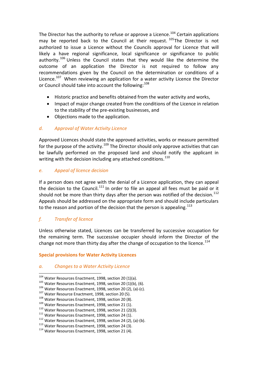The Director has the authority to refuse or approve a Licence.<sup>104</sup> Certain applications may be reported back to the Council at their request.  $^{105}$ The Director is not authorized to issue a Licence without the Councils approval for Licence that will likely a have regional significance, local significance or significance to public authority.<sup>106</sup> Unless the Council states that they would like the determine the outcome of an application the Director is not required to follow any recommendations given by the Council on the determination or conditions of a Licence.<sup>107</sup> When reviewing an application for a water activity Licence the Director or Council should take into account the following:<sup>108</sup>

- Historic practice and benefits obtained from the water activity and works,
- Impact of major change created from the conditions of the Licence in relation to the stability of the pre-existing businesses, and
- Objections made to the application.

# *d. Approval of Water Activity Licence*

Approved Licences should state the approved activities, works or measure permitted for the purpose of the activity.<sup>109</sup> The Director should only approve activities that can be lawfully performed on the proposed land and should notify the applicant in writing with the decision including any attached conditions. $110$ 

# *e. Appeal of licence decision*

If a person does not agree with the denial of a Licence application, they can appeal the decision to the Council.<sup>111</sup> In order to file an appeal all fees must be paid or it should not be more than thirty days after the person was notified of the decision.<sup>112</sup> Appeals should be addressed on the appropriate form and should include particulars to the reason and portion of the decision that the person is appealing.<sup>113</sup>

# *f. Transfer of licence*

l

Unless otherwise stated, Licences can be transferred by successive occupation for the remaining term. The successive occupier should inform the Director of the change not more than thirty day after the change of occupation to the licence.<sup>114</sup>

# **Special provisions for Water Activity Licences**

# *a. Changes to a Water Activity Licence*

<sup>104</sup> Water Resources Enactment, 1998, section 20 (1)(a).

<sup>&</sup>lt;sup>105</sup> Water Resources Enactment, 1998, section 20 (1)(b), (6).

<sup>106</sup> Water Resources Enactment, 1998, section 20 (2), (a)-(c).

<sup>&</sup>lt;sup>107</sup> Water Resource Enactment, 1998, section 20 (5).

<sup>108</sup> Water Resources Enactment, 1998, section 20 (8).

<sup>109</sup> Water Resources Enactment, 1998, section 21 (1).

 $110$  Water Resources Enactment, 1998, section 21 (2)(3).

<sup>&</sup>lt;sup>111</sup> Water Resources Enactment, 1998, section 24 (1).

<sup>112</sup> Water Resources Enactment, 1998, section 24 (2), (a)-(b).

<sup>&</sup>lt;sup>113</sup> Water Resources Enactment, 1998, section 24 (3).

<sup>114</sup> Water Resources Enactment, 1998, section 21 (4).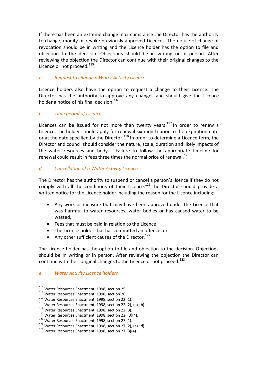If there has been an extreme change in circumstance the Director has the authority to change, modify or revoke previously approved Licences. The notice of change of revocation should be in writing and the Licence holder has the option to file and objection to the decision. Objections should be in writing or in person. After reviewing the objection the Director can continue with their original changes to the Licence or not proceed.<sup>115</sup>

# *b. Request to change a Water Activity Licence*

Licence holders also have the option to request a change to their Licence. The Director has the authority to approve any changes and should give the Licence holder a notice of his final decision.  $116$ 

#### *c. Time period of Licence*

Licences can be issued for not more than twenty years. $117$  In order to renew a Licence, the holder should apply for renewal six month prior to the expiration date or at the date specified by the Director.<sup>118</sup> In order to determine a Licence term, the Director and council should consider the nature, scale, duration and likely impacts of the water resources and body.<sup>119</sup> Failure to follow the appropriate timeline for renewal could result in fees three times the normal price of renewal.<sup>120</sup>

#### *d. Cancellation of a Water Activity Licence*

The Director has the authority to suspend or cancel a person's licence if they do not comply with all the conditions of their Licence.<sup>121</sup> The Director should provide a written notice for the Licence holder including the reason for the Licence including:

- Any work or measure that may have been approved under the Licence that was harmful to water resources, water bodies or has caused water to be wasted,
- Fees that must be paid in relation to the Licence,
- The Licence holder that has committed an offence, or
- Any other sufficient causes of the Director.<sup>122</sup>

The Licence holder has the option to file and objection to the decision. Objections should be in writing or in person. After reviewing the objection the Director can continue with their original changes to the Licence or not proceed.<sup>123</sup>

#### *e. Water Activity Licence holders*

 $\overline{a}$ <sup>115</sup> Water Resources Enactment, 1998, section 25.

<sup>116</sup> Water Resources Enactment, 1998, section 26.

<sup>&</sup>lt;sup>117</sup> Water Resources Enactment, 1998, section 22 (1).

 $118$  Water Resources Enactment, 1998, section 22 (2), (a)-(b).

<sup>&</sup>lt;sup>119</sup> Water Resources Enactment, 1998, section 22 (3).

<sup>&</sup>lt;sup>120</sup> Water Resources Enactment, 1998, section 22, (3)(4).

<sup>&</sup>lt;sup>121</sup> Water Resources Enactment, 1998, section 27 (1).

 $122$  Water Resources Enactment, 1998, section 27 (2), (a)-(d).

<sup>&</sup>lt;sup>123</sup> Water Resources Enactment, 1998, section 27 (3)(4).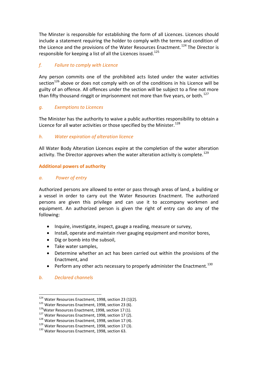The Minster is responsible for establishing the form of all Licences. Licences should include a statement requiring the holder to comply with the terms and condition of the Licence and the provisions of the Water Resources Enactment.<sup>124</sup> The Director is responsible for keeping a list of all the Licences issued.<sup>125</sup>

# *f. Failure to comply with Licence*

Any person commits one of the prohibited acts listed under the water activities section $126$  above or does not comply with on of the conditions in his Licence will be guilty of an offence. All offences under the section will be subject to a fine not more than fifty thousand ringgit or imprisonment not more than five years, or both.<sup>127</sup>

# *g. Exemptions to Licences*

The Minister has the authority to waive a public authorities responsibility to obtain a Licence for all water activities or those specified by the Minister.<sup>128</sup>

# *h. Water expiration of alteration licence*

All Water Body Alteration Licences expire at the completion of the water alteration activity. The Director approves when the water alteration activity is complete.<sup>129</sup>

# **Additional powers of authority**

# *a. Power of entry*

Authorized persons are allowed to enter or pass through areas of land, a building or a vessel in order to carry out the Water Resources Enactment. The authorized persons are given this privilege and can use it to accompany workmen and equipment. An authorized person is given the right of entry can do any of the following:

- Inquire, investigate, inspect, gauge a reading, measure or survey,
- Install, operate and maintain river gauging equipment and monitor bores,
- Dig or bomb into the subsoil.
- Take water samples.
- Determine whether an act has been carried out within the provisions of the Enactment, and
- **•** Perform any other acts necessary to properly administer the Enactment.<sup>130</sup>

# *b. Declared channels*

 $124$  Water Resources Enactment, 1998, section 23 (1)(2).

<sup>&</sup>lt;sup>125</sup> Water Resources Enactment, 1998, section 23 (6).

 $126$ Water Resources Enactment, 1998, section 17 (1).

<sup>127</sup> Water Resources Enactment, 1998, section 17 (2).

<sup>&</sup>lt;sup>128</sup> Water Resources Enactment, 1998, section 17 (4).

<sup>&</sup>lt;sup>129</sup> Water Resources Enactment, 1998, section 17 (3).

<sup>&</sup>lt;sup>130</sup> Water Resources Enactment, 1998, section 63.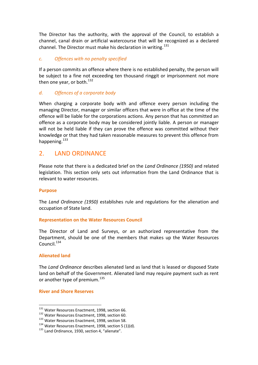The Director has the authority, with the approval of the Council, to establish a channel, canal drain or artificial watercourse that will be recognized as a declared channel. The Director must make his declaration in writing.<sup>131</sup>

#### *c. Offences with no penalty specified*

If a person commits an offence where there is no established penalty, the person will be subject to a fine not exceeding ten thousand ringgit or imprisonment not more then one year, or both.<sup>132</sup>

# *d. Offences of a corporate body*

When charging a corporate body with and offence every person including the managing Director, manager or similar officers that were in office at the time of the offence will be liable for the corporations actions. Any person that has committed an offence as a corporate body may be considered jointly liable. A person or manager will not be held liable if they can prove the offence was committed without their knowledge or that they had taken reasonable measures to prevent this offence from happening.<sup>133</sup>

# 2. LAND ORDINANCE

Please note that there is a dedicated brief on the *Land Ordinance (1950)* and related legislation. This section only sets out information from the Land Ordinance that is relevant to water resources.

#### **Purpose**

The *Land Ordinance (1950)* establishes rule and regulations for the alienation and occupation of State land.

#### **Representation on the Water Resources Council**

The Director of Land and Surveys, or an authorized representative from the Department, should be one of the members that makes up the Water Resources Council.<sup>134</sup>

#### **Alienated land**

 $\overline{a}$ 

The *Land Ordinance* describes alienated land as land that is leased or disposed State land on behalf of the Government. Alienated land may require payment such as rent or another type of premium.<sup>135</sup>

**River and Shore Reserves**

<sup>&</sup>lt;sup>131</sup> Water Resources Enactment, 1998, section 66.

<sup>&</sup>lt;sup>132</sup> Water Resources Enactment, 1998, section 60.

<sup>133</sup> Water Resources Enactment, 1998, section 58.

 $134$  Water Resources Enactment, 1998, section 5 (1)(d).

<sup>&</sup>lt;sup>135</sup> Land Ordinance, 1930, section 4, "alienate".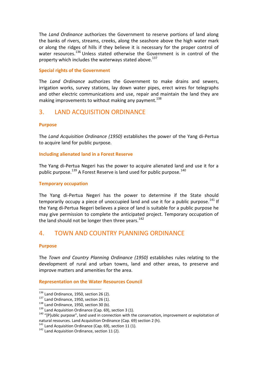The *Land Ordinance* authorizes the Government to reserve portions of land along the banks of rivers, streams, creeks, along the seashore above the high water mark or along the ridges of hills if they believe it is necessary for the proper control of water resources.<sup>136</sup> Unless stated otherwise the Government is in control of the property which includes the waterways stated above.<sup>137</sup>

#### **Special rights of the Government**

The *Land Ordinance* authorizes the Government to make drains and sewers, irrigation works, survey stations, lay down water pipes, erect wires for telegraphs and other electric communications and use, repair and maintain the land they are making improvements to without making any payment.<sup>138</sup>

# 3. LAND ACQUISITION ORDINANCE

#### **Purpose**

The *Land Acquisition Ordinance (1950)* establishes the power of the Yang di-Pertua to acquire land for public purpose.

#### **Including alienated land in a Forest Reserve**

The Yang di-Pertua Negeri has the power to acquire alienated land and use it for a public purpose.<sup>139</sup> A Forest Reserve is land used for public purpose.<sup>140</sup>

#### **Temporary occupation**

The Yang di-Pertua Negeri has the power to determine if the State should temporarily occupy a piece of unoccupied land and use it for a public purpose. $^{141}$  If the Yang di-Pertua Negeri believes a piece of land is suitable for a public purpose he may give permission to complete the anticipated project. Temporary occupation of the land should not be longer then three years. $142$ 

# 4. TOWN AND COUNTRY PLANNING ORDINANCE

#### **Purpose**

l

The *Town and Country Planning Ordinance (1950)* establishes rules relating to the development of rural and urban towns, land and other areas, to preserve and improve matters and amenities for the area.

#### **Representation on the Water Resources Council**

 $136$  Land Ordinance, 1950, section 26 (2).

 $137$  Land Ordinance, 1950, section 26 (1).

 $138$  Land Ordinance, 1950, section 30 (b).

 $139$  Land Acquisition Ordinance (Cap. 69), section 3 (1).

<sup>&</sup>lt;sup>140</sup> "[P]ublic purpose", land used in connection with the conservation, improvement or exploitation of natural resources. Land Acquisition Ordinance (Cap. 69) section 2 (h).

 $141$  Land Acquisition Ordinance (Cap. 69), section 11 (1).

<sup>&</sup>lt;sup>142</sup> Land Acquisition Ordinance, section 11 (2).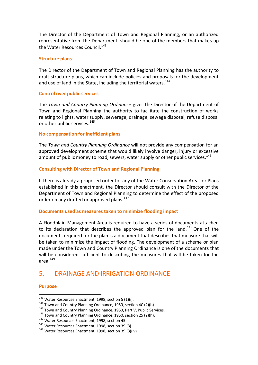The Director of the Department of Town and Regional Planning, or an authorized representative from the Department, should be one of the members that makes up the Water Resources Council.<sup>143</sup>

#### **Structure plans**

The Director of the Department of Town and Regional Planning has the authority to draft structure plans, which can include policies and proposals for the development and use of land in the State, including the territorial waters.<sup>144</sup>

#### **Control over public services**

The *Town and Country Planning Ordinance* gives the Director of the Department of Town and Regional Planning the authority to facilitate the construction of works relating to lights, water supply, sewerage, drainage, sewage disposal, refuse disposal or other public services.<sup>145</sup>

#### **No compensation for inefficient plans**

The *Town and Country Planning Ordinance* will not provide any compensation for an approved development scheme that would likely involve danger, injury or excessive amount of public money to road, sewers, water supply or other public services.<sup>146</sup>

#### **Consulting with Director of Town and Regional Planning**

If there is already a proposed order for any of the Water Conservation Areas or Plans established in this enactment, the Director should consult with the Director of the Department of Town and Regional Planning to determine the effect of the proposed order on any drafted or approved plans.<sup>147</sup>

#### **Documents used as measures taken to minimize flooding impact**

A Floodplain Management Area is required to have a series of documents attached to its declaration that describes the approved plan for the land.<sup>148</sup> One of the documents required for the plan is a document that describes that measure that will be taken to minimize the impact of flooding. The development of a scheme or plan made under the Town and Country Planning Ordinance is one of the documents that will be considered sufficient to describing the measures that will be taken for the area. $149$ 

# 5. DRAINAGE AND IRRIGATION ORDINANCE

#### **Purpose**

 $^{143}$  Water Resources Enactment, 1998, section 5 (1)(i).

<sup>&</sup>lt;sup>144</sup> Town and Country Planning Ordinance, 1950, section 4C (2)(b).

<sup>&</sup>lt;sup>145</sup> Town and Country Planning Ordinance, 1950, Part V, Public Services.

<sup>&</sup>lt;sup>146</sup> Town and Country Planning Ordinance, 1950, section 25 (2)(h).

<sup>&</sup>lt;sup>147</sup> Water Resources Enactment, 1998, section 45.

<sup>&</sup>lt;sup>148</sup> Water Resources Enactment, 1998, section 39 (3).

<sup>149</sup> Water Resources Enactment, 1998, section 39 (3)(iv).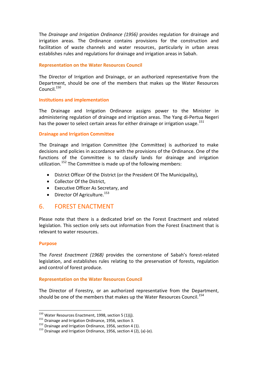The *Drainage and Irrigation Ordinance (1956)* provides regulation for drainage and irrigation areas. The Ordinance contains provisions for the construction and facilitation of waste channels and water resources, particularly in urban areas establishes rules and regulations for drainage and irrigation areas in Sabah.

#### **Representation on the Water Resources Council**

The Director of Irrigation and Drainage, or an authorized representative from the Department, should be one of the members that makes up the Water Resources Council<sup>150</sup>

#### **Institutions and implementation**

The Drainage and Irrigation Ordinance assigns power to the Minister in administering regulation of drainage and irrigation areas. The Yang di-Pertua Negeri has the power to select certain areas for either drainage or irrigation usage.<sup>151</sup>

#### **Drainage and Irrigation Committee**

The Drainage and Irrigation Committee (the Committee) is authorized to make decisions and policies in accordance with the provisions of the Ordinance. One of the functions of the Committee is to classify lands for drainage and irrigation utilization.<sup>152</sup> The Committee is made up of the following members:

- District Officer Of the District (or the President Of The Municipality),
- Collector Of the District,
- Executive Officer As Secretary, and
- Director Of Agriculture.<sup>153</sup>

# 6. FOREST ENACTMENT

Please note that there is a dedicated brief on the Forest Enactment and related legislation. This section only sets out information from the Forest Enactment that is relevant to water resources.

#### **Purpose**

l

The *Forest Enactment (1968)* provides the cornerstone of Sabah's forest-related legislation, and establishes rules relating to the preservation of forests, regulation and control of forest produce.

#### **Representation on the Water Resources Council**

The Director of Forestry, or an authorized representative from the Department, should be one of the members that makes up the Water Resources Council.<sup>154</sup>

<sup>&</sup>lt;sup>150</sup> Water Resources Enactment, 1998, section 5 (1)(j).

<sup>&</sup>lt;sup>151</sup> Drainage and Irrigation Ordinance, 1956, section 3.

<sup>&</sup>lt;sup>152</sup> Drainage and Irrigation Ordinance, 1956, section 4 (1).

 $153$  Drainage and Irrigation Ordinance, 1956, section 4 (2), (a)-(e).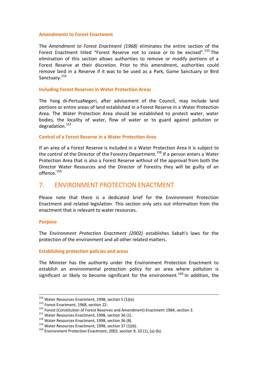#### **Amendments to Forest Enactment**

The *Amendment to Forest Enactment (1968)* eliminates the entire section of the Forest Enactment titled "Forest Reserve not to cease or to be excised".<sup>155</sup> The elimination of this section allows authorities to remove or modify portions of a Forest Reserve at their discretion. Prior to this amendment, authorities could remove land in a Reserve if it was to be used as a Park, Game Sanctuary or Bird Sanctuary.<sup>156</sup>

#### **Including Forest Reserves in Water Protection Areas**

The Yang di-PertuaNegeri, after advisement of the Council, may include land portions or entire areas of land established in a Forest Reserve in a Water Protection Area. The Water Protection Area should be established to protect water, water bodies, the locality of water, flow of water or to guard against pollution or degradation.<sup>157</sup>

#### **Control of a Forest Reserve in a Water Protection Area**

If an area of a Forest Reserve is included in a Water Protection Area it is subject to the control of the Director of the Forestry Department.<sup>158</sup> If a person enters a Water Protection Area that is also a Forest Reserve without of the approval from both the Director Water Resources and the Director of Forestry they will be guilty of an offence.<sup>159</sup>

# 7. ENVIRONMENT PROTECTION ENACTMENT

Please note that there is a dedicated brief for the Environment Protection Enactment and related legislation. This section only sets out information from the enactment that is relevant to water resources.

#### **Purpose**

 $\overline{a}$ 

The *Environment Protection Enactment (2002)* establishes Sabah's laws for the protection of the environment and all other related matters.

#### **Establishing protection policies and areas**

The Minister has the authority under the Environment Protection Enactment to establish an environmental protection policy for an area where pollution is significant or likely to become significant for the environment.<sup>160</sup> In addition, the

 $^{154}$  Water Resources Enactment, 1998, section 5 (1)(e).

<sup>&</sup>lt;sup>155</sup> Forest Enactment, 1968, section 22.

<sup>156</sup> Forest (Constitution of Forest Reserves and Amendment) Enactment 1984, section 3.

<sup>&</sup>lt;sup>157</sup> Water Resources Enactment, 1998, section 36 (1).

<sup>&</sup>lt;sup>158</sup> Water Resources Enactment, 1998, section 36 (8).

 $159$  Water Resources Enactment, 1998, section 37 (1)(b).

 $160$  Environment Protection Enactment, 2002, section 9, 10 (1), (a)-(b).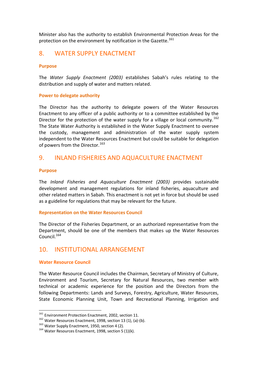Minister also has the authority to establish Environmental Protection Areas for the protection on the environment by notification in the Gazette.<sup>161</sup>

# 8. WATER SUPPLY ENACTMENT

#### **Purpose**

The *Water Supply Enactment (2003)* establishes Sabah's rules relating to the distribution and supply of water and matters related.

#### **Power to delegate authority**

The Director has the authority to delegate powers of the Water Resources Enactment to any officer of a public authority or to a committee established by the Director for the protection of the water supply for a village or local community.<sup>162</sup> The State Water Authority is established in the Water Supply Enactment to oversee the custody, management and administration of the water supply system independent to the Water Resources Enactment but could be suitable for delegation of powers from the Director.<sup>163</sup>

# 9. INLAND FISHERIES AND AQUACULTURE ENACTMENT

#### **Purpose**

The *Inland Fisheries and Aquaculture Enactment (2003)* provides sustainable development and management regulations for inland fisheries, aquaculture and other related matters in Sabah. This enactment is not yet in force but should be used as a guideline for regulations that may be relevant for the future.

#### **Representation on the Water Resources Council**

The Director of the Fisheries Department, or an authorized representative from the Department, should be one of the members that makes up the Water Resources Council.<sup>164</sup>

# 10. INSTITUTIONAL ARRANGEMENT

#### **Water Resource Council**

l

The Water Resource Council includes the Chairman, Secretary of Ministry of Culture, Environment and Tourism, Secretary for Natural Resources, two member with technical or academic experience for the position and the Directors from the following Departments: Lands and Surveys, Forestry, Agriculture, Water Resources, State Economic Planning Unit, Town and Recreational Planning, Irrigation and

<sup>&</sup>lt;sup>161</sup> Environment Protection Enactment, 2002, section 11.

<sup>&</sup>lt;sup>162</sup> Water Resources Enactment, 1998, section 13 (1), (a)-(b).

<sup>&</sup>lt;sup>163</sup> Water Supply Enactment, 1950, section 4 (2).

 $164$  Water Resources Enactment, 1998, section 5 (1)(k).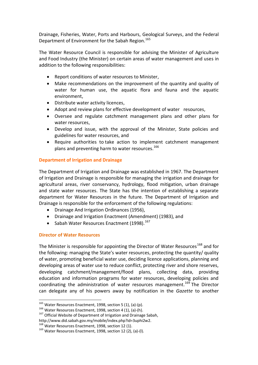Drainage, Fisheries, Water, Ports and Harbours, Geological Surveys, and the Federal Department of Environment for the Sabah Region.<sup>165</sup>

The Water Resource Council is responsible for advising the Minister of Agriculture and Food Industry (the Minister) on certain areas of water management and uses in addition to the following responsibilities:

- Report conditions of water resources to Minister,
- Make recommendations on the improvement of the quantity and quality of water for human use, the aquatic flora and fauna and the aquatic environment,
- Distribute water activity licences,
- Adopt and review plans for effective development of water resources,
- Oversee and regulate catchment management plans and other plans for water resources,
- Develop and issue, with the approval of the Minister, State policies and guidelines for water resources, and
- Require authorities to take action to implement catchment management plans and preventing harm to water resources. $166$

#### **Department of Irrigation and Drainage**

The Department of Irrigation and Drainage was established in 1967. The Department of Irrigation and Drainage is responsible for managing the irrigation and drainage for agricultural areas, river conservancy, hydrology, flood mitigation, urban drainage and state water resources. The State has the intention of establishing a separate department for Water Resources in the future. The Department of Irrigation and Drainage is responsible for the enforcement of the following regulations:

- Drainage And Irrigation Ordinances (1956),
- Drainage and Irrigation Enactment (Amendment) (1983), and
- Sabah Water Resources Enactment (1998).<sup>167</sup>

#### **Director of Water Resources**

 $\overline{a}$ 

The Minister is responsible for appointing the Director of Water Resources<sup>168</sup> and for the following: managing the State's water resources, protecting the quantity/ quality of water, promoting beneficial water use, deciding licence applications, planning and developing areas of water use to reduce conflict, protecting river and shore reserves, developing catchment/management/flood plans, collecting data, providing education and information programs for water resources, developing policies and coordinating the administration of water resources management.<sup>169</sup> The Director can delegate any of his powers away by notification in the *Gazette* to another

 $^{165}$  Water Resources Enactment, 1998, section 5 (1), (a)-(p).

 $166$  Water Resources Enactment, 1998, section 4 (1), (a)-(h).

<sup>&</sup>lt;sup>167</sup> Official Website of Department of Irrigation and Drainage Sabah,

http://www.did.sabah.gov.my/mobile/index.php?id=3uphi2w2.

<sup>&</sup>lt;sup>168</sup> Water Resources Enactment, 1998, section 12 (1).

<sup>&</sup>lt;sup>169</sup> Water Resources Enactment, 1998, section 12 (2), (a)-(I).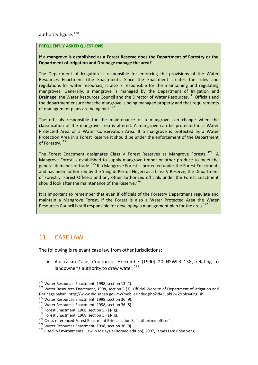authority figure.<sup>170</sup>

#### **FREQUENTLY ASKED QUESTIONS**

#### **If a mangrove is established as a Forest Reserve does the Department of Forestry or the Department of Irrigation and Drainage manage the area?**

The Department of Irrigation is responsible for enforcing the provisions of the Water Resources Enactment (the Enactment). Since the Enactment creates the rules and regulations for water resources, it also is responsible for the maintaining and regulating mangroves. Generally, a mangrove is managed by the Department of Irrigation and Drainage, the Water Resources Council and the Director of Water Resources.<sup>171</sup> Officials and the department ensure that the mangrove is being managed properly and that requirements of management plans are being met. $172$ 

The officials responsible for the maintenance of a mangrove can change when the classification of the mangrove area is altered. A mangrove can be protected in a Water Protected Area or a Water Conservation Area. If a mangrove is protected as a Water Protection Area in a Forest Reserve it should be under the enforcement of the Department of Forestry.<sup>173</sup>

The Forest Enactment designates Class V Forest Reserves as Mangrove Forests.<sup>174</sup> A Mangrove Forest is established to supply mangrove timber or other produce to meet the general demands of trade.<sup>175</sup> If a Mangrove Forest is protected under the Forest Enactment, and has been authorized by the Yang di-Pertua Negeri as a Class V Reserve, the Department of Forestry, Forest Officers and any other authorized officials under the Forest Enactment should look after the maintenance of the Reserve.<sup>176</sup>

It is important to remember that even if officials of the Forestry Department regulate and maintain a Mangrove Forest, if the Forest is also a Water Protected Area the Water Resources Council is still responsible for developing a management plan for the area.<sup>177</sup>

# 11. CASE LAW

 $\overline{a}$ 

The following is relevant case law from other jurisdictions:

 Australian Case, Coulton v. Holcombe [1990] 20 NSWLR 138, relating to landowner's authority to draw water.  $178$ 

 $170$  Water Resources Enactment, 1998, section 13 (1).

 $171$  Water Resources Enactment, 1998, section 5 (1), Official Website of Department of Irrigation and Drainage Sabah, http://www.did.sabah.gov.my/mobile/index.php?id=3uphi2w2&bhs=English.

<sup>172</sup> Water Resources Enactment, 1998, section 36 (9).

<sup>&</sup>lt;sup>173</sup> Water Resources Enactment, 1998, section 36 (8).

 $174$  Forest Enactment, 1968, section 5, (a)-(g).

 $175$  Forest Enactment, 1968, section 5, (a)-(g).

<sup>&</sup>lt;sup>176</sup> Cross referenced Forest Enactment Brief, section 8, "authorized officer".

<sup>&</sup>lt;sup>177</sup> Water Resources Enactment, 1998, section 36 (9).

 $178$  Cited in Environmental Law in Malaysia (Borneo edition), 2007, James Lam Chee Seng.